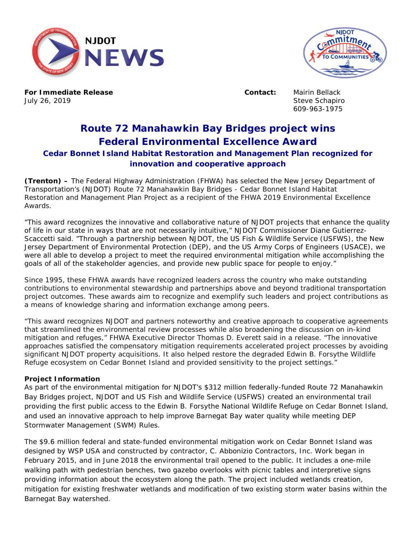



**For Immediate Release Contact:** Mairin Bellack July 26, 2019 **Steve Schapiro** Steve Schapiro

609-963-1975

## **Route 72 Manahawkin Bay Bridges project wins Federal Environmental Excellence Award Cedar Bonnet Island Habitat Restoration and Management Plan recognized for innovation and cooperative approach**

**(Trenton) –** The Federal Highway Administration (FHWA) has selected the New Jersey Department of Transportation's (NJDOT) Route 72 Manahawkin Bay Bridges - Cedar Bonnet Island Habitat Restoration and Management Plan Project as a recipient of the FHWA 2019 Environmental Excellence Awards.

"This award recognizes the innovative and collaborative nature of NJDOT projects that enhance the quality of life in our state in ways that are not necessarily intuitive," NJDOT Commissioner Diane Gutierrez-Scaccetti said. "Through a partnership between NJDOT, the US Fish & Wildlife Service (USFWS), the New Jersey Department of Environmental Protection (DEP), and the US Army Corps of Engineers (USACE), we were all able to develop a project to meet the required environmental mitigation while accomplishing the goals of all of the stakeholder agencies, and provide new public space for people to enjoy."

Since 1995, these FHWA awards have recognized leaders across the country who make outstanding contributions to environmental stewardship and partnerships above and beyond traditional transportation project outcomes. These awards aim to recognize and exemplify such leaders and project contributions as a means of knowledge sharing and information exchange among peers.

"This award recognizes NJDOT and partners noteworthy and creative approach to cooperative agreements that streamlined the environmental review processes while also broadening the discussion on in-kind mitigation and refuges," FHWA Executive Director Thomas D. Everett said in a release. "The innovative approaches satisfied the compensatory mitigation requirements accelerated project processes by avoiding significant NJDOT property acquisitions. It also helped restore the degraded Edwin B. Forsythe Wildlife Refuge ecosystem on Cedar Bonnet Island and provided sensitivity to the project settings."

## **Project Information**

As part of the environmental mitigation for NJDOT's \$312 million federally-funded Route 72 Manahawkin Bay Bridges project, NJDOT and US Fish and Wildlife Service (USFWS) created an environmental trail providing the first public access to the Edwin B. Forsythe National Wildlife Refuge on Cedar Bonnet Island, and used an innovative approach to help improve Barnegat Bay water quality while meeting DEP Stormwater Management (SWM) Rules.

The \$9.6 million federal and state-funded environmental mitigation work on Cedar Bonnet Island was designed by WSP USA and constructed by contractor, C. Abbonizio Contractors, Inc. Work began in February 2015, and in June 2018 the environmental trail opened to the public. It includes a one-mile walking path with pedestrian benches, two gazebo overlooks with picnic tables and interpretive signs providing information about the ecosystem along the path. The project included wetlands creation, mitigation for existing freshwater wetlands and modification of two existing storm water basins within the Barnegat Bay watershed.